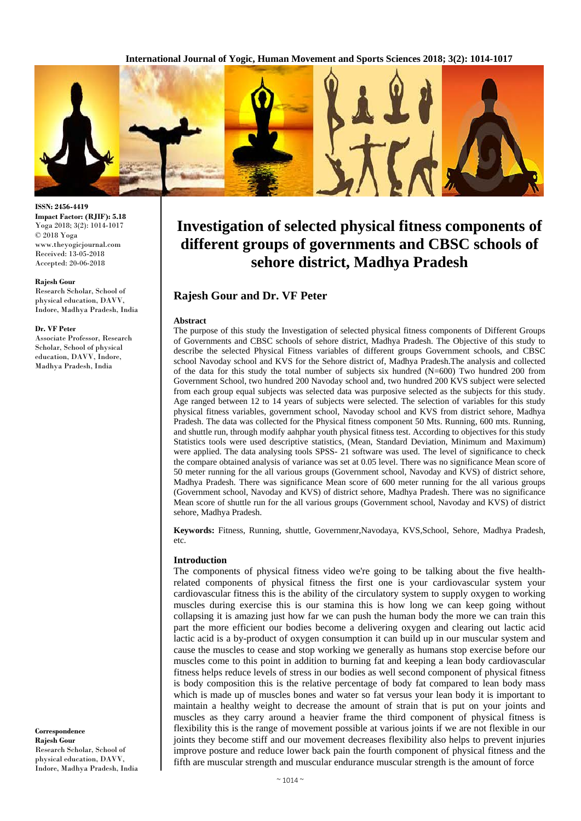

#### **ISSN: 2456-4419 Impact Factor: (RJIF): 5.18** Yoga 2018; 3(2): 1014-1017 © 2018 Yoga www.theyogicjournal.com Received: 13-05-2018 Accepted: 20-06-2018

#### **Rajesh Gour**

Research Scholar, School of physical education, DAVV, Indore, Madhya Pradesh, India

#### **Dr. VF Peter**

Associate Professor, Research Scholar, School of physical education, DAVV, Indore, Madhya Pradesh, India

**Correspondence Rajesh Gour** Research Scholar, School of physical education, DAVV, Indore, Madhya Pradesh, India

# **Investigation of selected physical fitness components of different groups of governments and CBSC schools of sehore district, Madhya Pradesh**

# **Rajesh Gour and Dr. VF Peter**

#### **Abstract**

The purpose of this study the Investigation of selected physical fitness components of Different Groups of Governments and CBSC schools of sehore district, Madhya Pradesh. The Objective of this study to describe the selected Physical Fitness variables of different groups Government schools, and CBSC school Navoday school and KVS for the Sehore district of, Madhya Pradesh.The analysis and collected of the data for this study the total number of subjects six hundred (N=600) Two hundred 200 from Government School, two hundred 200 Navoday school and, two hundred 200 KVS subject were selected from each group equal subjects was selected data was purposive selected as the subjects for this study. Age ranged between 12 to 14 years of subjects were selected. The selection of variables for this study physical fitness variables, government school, Navoday school and KVS from district sehore, Madhya Pradesh. The data was collected for the Physical fitness component 50 Mts. Running, 600 mts. Running, and shuttle run, through modify aahphar youth physical fitness test. According to objectives for this study Statistics tools were used descriptive statistics, (Mean, Standard Deviation, Minimum and Maximum) were applied. The data analysing tools SPSS- 21 software was used. The level of significance to check the compare obtained analysis of variance was set at 0.05 level. There was no significance Mean score of 50 meter running for the all various groups (Government school, Navoday and KVS) of district sehore, Madhya Pradesh. There was significance Mean score of 600 meter running for the all various groups (Government school, Navoday and KVS) of district sehore, Madhya Pradesh. There was no significance Mean score of shuttle run for the all various groups (Government school, Navoday and KVS) of district sehore, Madhya Pradesh.

**Keywords:** Fitness, Running, shuttle, Governmenr,Navodaya, KVS,School, Sehore, Madhya Pradesh, etc.

### **Introduction**

The components of physical fitness video we're going to be talking about the five healthrelated components of physical fitness the first one is your cardiovascular system your cardiovascular fitness this is the ability of the circulatory system to supply oxygen to working muscles during exercise this is our stamina this is how long we can keep going without collapsing it is amazing just how far we can push the human body the more we can train this part the more efficient our bodies become a delivering oxygen and clearing out lactic acid lactic acid is a by-product of oxygen consumption it can build up in our muscular system and cause the muscles to cease and stop working we generally as humans stop exercise before our muscles come to this point in addition to burning fat and keeping a lean body cardiovascular fitness helps reduce levels of stress in our bodies as well second component of physical fitness is body composition this is the relative percentage of body fat compared to lean body mass which is made up of muscles bones and water so fat versus your lean body it is important to maintain a healthy weight to decrease the amount of strain that is put on your joints and muscles as they carry around a heavier frame the third component of physical fitness is flexibility this is the range of movement possible at various joints if we are not flexible in our joints they become stiff and our movement decreases flexibility also helps to prevent injuries improve posture and reduce lower back pain the fourth component of physical fitness and the fifth are muscular strength and muscular endurance muscular strength is the amount of force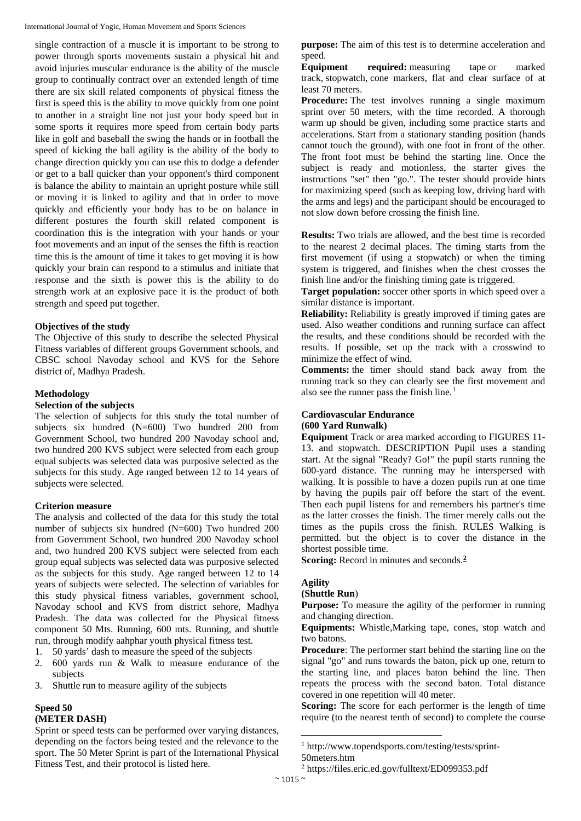International Journal of Yogic, Human Movement and Sports Sciences

single contraction of a muscle it is important to be strong to power through sports movements sustain a physical hit and avoid injuries muscular endurance is the ability of the muscle group to continually contract over an extended length of time there are six skill related components of physical fitness the first is speed this is the ability to move quickly from one point to another in a straight line not just your body speed but in some sports it requires more speed from certain body parts like in golf and baseball the swing the hands or in football the speed of kicking the ball agility is the ability of the body to change direction quickly you can use this to dodge a defender or get to a ball quicker than your opponent's third component is balance the ability to maintain an upright posture while still or moving it is linked to agility and that in order to move quickly and efficiently your body has to be on balance in different postures the fourth skill related component is coordination this is the integration with your hands or your foot movements and an input of the senses the fifth is reaction time this is the amount of time it takes to get moving it is how quickly your brain can respond to a stimulus and initiate that response and the sixth is power this is the ability to do strength work at an explosive pace it is the product of both strength and speed put together.

# **Objectives of the study**

The Objective of this study to describe the selected Physical Fitness variables of different groups Government schools, and CBSC school Navoday school and KVS for the Sehore district of, Madhya Pradesh.

# **Methodology**

### **Selection of the subjects**

The selection of subjects for this study the total number of subjects six hundred (N=600) Two hundred 200 from Government School, two hundred 200 Navoday school and, two hundred 200 KVS subject were selected from each group equal subjects was selected data was purposive selected as the subjects for this study. Age ranged between 12 to 14 years of subjects were selected.

# **Criterion measure**

The analysis and collected of the data for this study the total number of subjects six hundred (N=600) Two hundred 200 from Government School, two hundred 200 Navoday school and, two hundred 200 KVS subject were selected from each group equal subjects was selected data was purposive selected as the subjects for this study. Age ranged between 12 to 14 years of subjects were selected. The selection of variables for this study physical fitness variables, government school, Navoday school and KVS from district sehore, Madhya Pradesh. The data was collected for the Physical fitness component 50 Mts. Running, 600 mts. Running, and shuttle run, through modify aahphar youth physical fitness test.

- 1. 50 yards' dash to measure the speed of the subjects
- 2. 600 yards run & Walk to measure endurance of the subjects
- 3. Shuttle run to measure agility of the subjects

# **Speed 50 (METER DASH)**

<span id="page-1-1"></span><span id="page-1-0"></span>Sprint or speed tests can be performed over varying distances, depending on the factors being tested and the relevance to the sport. The 50 Meter Sprint is part of the International Physical Fitness Test, and their protocol is listed here.

**purpose:** The aim of this test is to determine acceleration and speed.

**Equipment required:** measuring tape or marked track, stopwatch, cone markers, flat and clear surface of at least 70 meters.

**Procedure:** The test involves running a single maximum sprint over 50 meters, with the time recorded. A thorough warm up should be given, including some practice starts and accelerations. Start from a stationary standing position (hands cannot touch the ground), with one foot in front of the other. The front foot must be behind the starting line. Once the subject is ready and motionless, the starter gives the instructions "set" then "go.". The tester should provide hints for maximizing speed (such as keeping low, driving hard with the arms and legs) and the participant should be encouraged to not slow down before crossing the finish line.

**Results:** Two trials are allowed, and the best time is recorded to the nearest 2 decimal places. The timing starts from the first movement (if using a stopwatch) or when the timing system is triggered, and finishes when the chest crosses the finish line and/or the finishing timing gate is triggered.

**Target population:** soccer other sports in which speed over a similar distance is important.

**Reliability:** Reliability is greatly improved if timing gates are used. Also weather conditions and running surface can affect the results, and these conditions should be recorded with the results. If possible, set up the track with a crosswind to minimize the effect of wind.

**Comments:** the timer should stand back away from the running track so they can clearly see the first movement and also see the runner pass the finish line.<sup>[1](#page-1-0)</sup>

# **Cardiovascular Endurance**

# **(600 Yard Runwalk)**

**Equipment** Track or area marked according to FIGURES 11- 13. and stopwatch. DESCRIPTION Pupil uses a standing start. At the signal "Ready? Go!" the pupil starts running the 600-yard distance. The running may he interspersed with walking. It is possible to have a dozen pupils run at one time by having the pupils pair off before the start of the event. Then each pupil listens for and remembers his partner's time as the latter crosses the finish. The timer merely calls out the times as the pupils cross the finish. RULES Walking is permitted. but the object is to cover the distance in the shortest possible time.

**Scoring:** Record in minutes and seconds.**[2](#page-1-1)**

# **Agility**

### **(Shuttle Run**)

**Purpose:** To measure the agility of the performer in running and changing direction.

**Equipments:** Whistle,Marking tape, cones, stop watch and two batons.

**Procedure**: The performer start behind the starting line on the signal "go" and runs towards the baton, pick up one, return to the starting line, and places baton behind the line. Then repeats the process with the second baton. Total distance covered in one repetition will 40 meter.

**Scoring:** The score for each performer is the length of time require (to the nearest tenth of second) to complete the course

1

<sup>1</sup> http://www.topendsports.com/testing/tests/sprint-

<sup>50</sup>meters.htm

<sup>2</sup> https://files.eric.ed.gov/fulltext/ED099353.pdf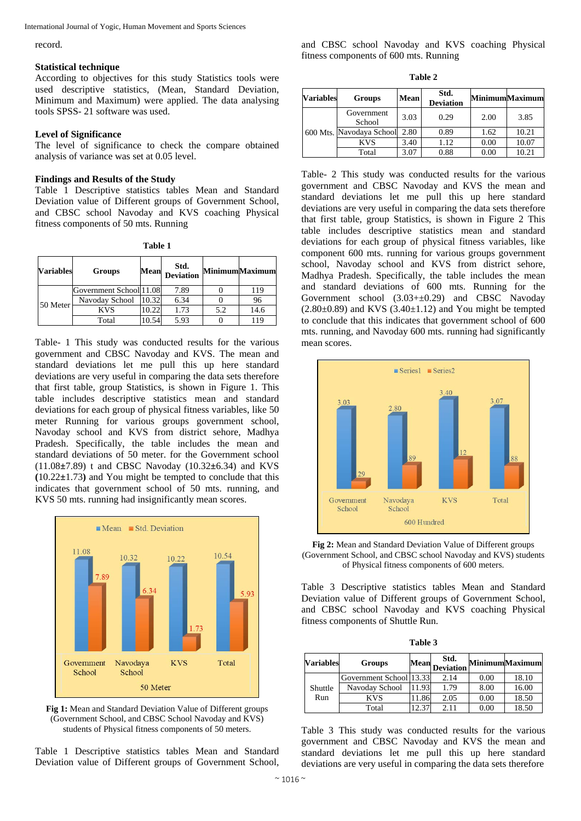International Journal of Yogic, Human Movement and Sports Sciences

record.

### **Statistical technique**

According to objectives for this study Statistics tools were used descriptive statistics, (Mean, Standard Deviation, Minimum and Maximum) were applied. The data analysing tools SPSS- 21 software was used.

# **Level of Significance**

The level of significance to check the compare obtained analysis of variance was set at 0.05 level.

# **Findings and Results of the Study**

Table 1 Descriptive statistics tables Mean and Standard Deviation value of Different groups of Government School, and CBSC school Navoday and KVS coaching Physical fitness components of 50 mts. Running

| 'able |  |
|-------|--|
|       |  |

| <b>Variables</b> | <b>Groups</b>           | <b>Mean</b> | Std.<br><b>Deviation</b> |     | <b>MinimumMaximum</b> |
|------------------|-------------------------|-------------|--------------------------|-----|-----------------------|
| 50 Meter         | Government School 11.08 |             | 7.89                     |     | 119                   |
|                  | Navoday School          | 10.32       | 6.34                     |     | 96                    |
|                  | <b>KVS</b>              | 10.22       | 1.73                     | 5.2 | 14.6                  |
|                  | Total                   | 10.54       | 5.93                     |     | 119                   |

Table- 1 This study was conducted results for the various government and CBSC Navoday and KVS. The mean and standard deviations let me pull this up here standard deviations are very useful in comparing the data sets therefore that first table, group Statistics, is shown in Figure 1. This table includes descriptive statistics mean and standard deviations for each group of physical fitness variables, like 50 meter Running for various groups government school, Navoday school and KVS from district sehore, Madhya Pradesh. Specifically, the table includes the mean and standard deviations of 50 meter. for the Government school (11.08**±**7.89) t and CBSC Navoday (10.32**±**6.34) and KVS **(**10.22**±**1.73**)** and You might be tempted to conclude that this indicates that government school of 50 mts. running, and KVS 50 mts. running had insignificantly mean scores.



**Fig 1:** Mean and Standard Deviation Value of Different groups (Government School, and CBSC School Navoday and KVS) students of Physical fitness components of 50 meters.

Table 1 Descriptive statistics tables Mean and Standard Deviation value of Different groups of Government School,

and CBSC school Navoday and KVS coaching Physical fitness components of 600 mts. Running

**Table 2**

| Variables | <b>Groups</b>            | <b>Mean</b> | Std.<br><b>Deviation</b> |      | <b>Minimum</b> Maximum |
|-----------|--------------------------|-------------|--------------------------|------|------------------------|
|           | Government<br>School     | 3.03        | 0.29                     | 2.00 | 3.85                   |
|           | 600 Mts. Navodaya School | 2.80        | 0.89                     | 1.62 | 10.21                  |
|           | <b>KVS</b>               | 3.40        | 1.12                     | 0.00 | 10.07                  |
|           | Total                    | 3.07        | 0.88                     | 0.00 | 10.21                  |

Table- 2 This study was conducted results for the various government and CBSC Navoday and KVS the mean and standard deviations let me pull this up here standard deviations are very useful in comparing the data sets therefore that first table, group Statistics, is shown in Figure 2 This table includes descriptive statistics mean and standard deviations for each group of physical fitness variables, like component 600 mts. running for various groups government school, Navoday school and KVS from district sehore, Madhya Pradesh. Specifically, the table includes the mean and standard deviations of 600 mts. Running for the Government school (3.03+±0.29) and CBSC Navoday  $(2.80\pm0.89)$  and KVS  $(3.40\pm1.12)$  and You might be tempted to conclude that this indicates that government school of 600 mts. running, and Navoday 600 mts. running had significantly mean scores.



**Fig 2:** Mean and Standard Deviation Value of Different groups (Government School, and CBSC school Navoday and KVS) students of Physical fitness components of 600 meters.

Table 3 Descriptive statistics tables Mean and Standard Deviation value of Different groups of Government School, and CBSC school Navoday and KVS coaching Physical fitness components of Shuttle Run.

| anı<br>о |  |
|----------|--|
|----------|--|

| <b>Variables</b> | <b>Groups</b>             | Mean  | Std.<br><b>Deviation</b> |      | <b>MinimumMaximum</b> |
|------------------|---------------------------|-------|--------------------------|------|-----------------------|
|                  | Government School [13.33] |       | 2.14                     | 0.00 | 18.10                 |
| Shuttle          | Navoday School            | 11.93 | 1.79                     | 8.00 | 16.00                 |
| Run              | <b>KVS</b>                | 11.86 | 2.05                     | 0.00 | 18.50                 |
|                  | Total                     | 12.37 | 2.11                     | 0.00 | 18.50                 |

Table 3 This study was conducted results for the various government and CBSC Navoday and KVS the mean and standard deviations let me pull this up here standard deviations are very useful in comparing the data sets therefore